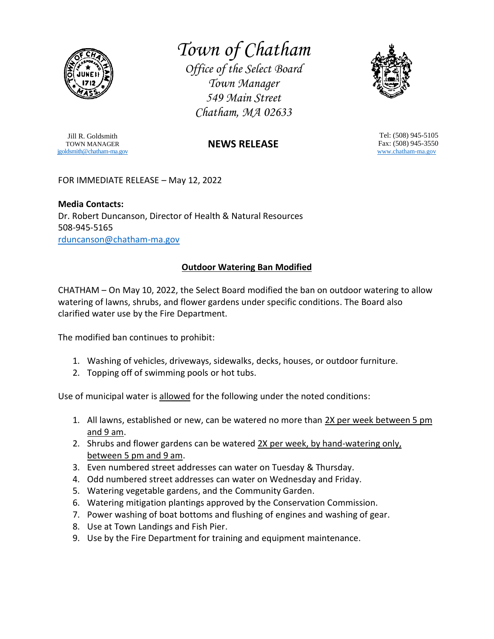

## *Town of Chatham*

*Office of the Select Board Town Manager 549 Main Street Chatham, MA 02633*



Jill R. Goldsmith TOWN MANAGER [jgoldsmith@chatham-ma.gov](mailto:jgoldsmith@chatham-ma.gov)

## **NEWS RELEASE**

Tel: (508) 945-5105 Fax: (508) 945-3550 [www.chatham-ma.gov](http://www.chatham-ma.gov/)

FOR IMMEDIATE RELEASE – May 12, 2022

**Media Contacts:** Dr. Robert Duncanson, Director of Health & Natural Resources 508-945-5165 [rduncanson@chatham-ma.gov](mailto:rduncanson@chatham-ma.gov)

## **Outdoor Watering Ban Modified**

CHATHAM – On May 10, 2022, the Select Board modified the ban on outdoor watering to allow watering of lawns, shrubs, and flower gardens under specific conditions. The Board also clarified water use by the Fire Department.

The modified ban continues to prohibit:

- 1. Washing of vehicles, driveways, sidewalks, decks, houses, or outdoor furniture.
- 2. Topping off of swimming pools or hot tubs.

Use of municipal water is allowed for the following under the noted conditions:

- 1. All lawns, established or new, can be watered no more than 2X per week between 5 pm and 9 am.
- 2. Shrubs and flower gardens can be watered 2X per week, by hand-watering only, between 5 pm and 9 am.
- 3. Even numbered street addresses can water on Tuesday & Thursday.
- 4. Odd numbered street addresses can water on Wednesday and Friday.
- 5. Watering vegetable gardens, and the Community Garden.
- 6. Watering mitigation plantings approved by the Conservation Commission.
- 7. Power washing of boat bottoms and flushing of engines and washing of gear.
- 8. Use at Town Landings and Fish Pier.
- 9. Use by the Fire Department for training and equipment maintenance.